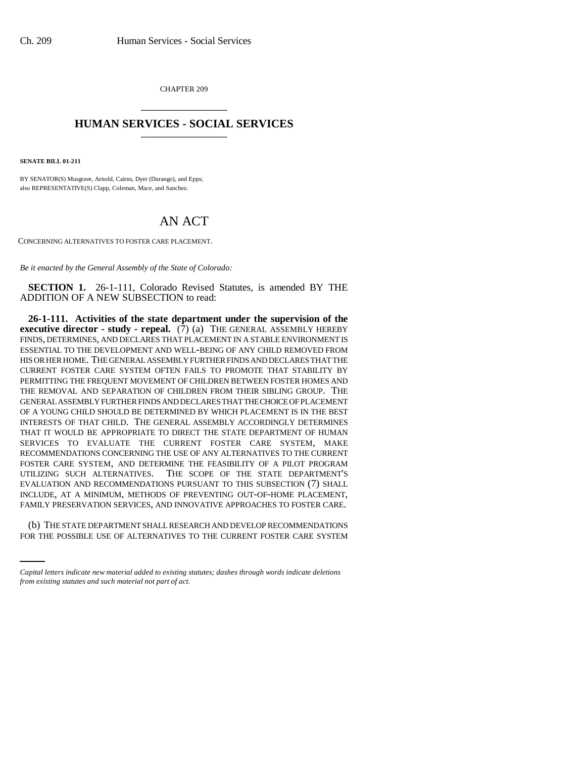CHAPTER 209 \_\_\_\_\_\_\_\_\_\_\_\_\_\_\_

## **HUMAN SERVICES - SOCIAL SERVICES** \_\_\_\_\_\_\_\_\_\_\_\_\_\_\_

**SENATE BILL 01-211**

BY SENATOR(S) Musgrave, Arnold, Cairns, Dyer (Durango), and Epps; also REPRESENTATIVE(S) Clapp, Coleman, Mace, and Sanchez.

## AN ACT

CONCERNING ALTERNATIVES TO FOSTER CARE PLACEMENT.

*Be it enacted by the General Assembly of the State of Colorado:*

**SECTION 1.** 26-1-111, Colorado Revised Statutes, is amended BY THE ADDITION OF A NEW SUBSECTION to read:

FAMILY PRESERVATION SERVICES, AND INNOVATIVE APPROACHES TO FOSTER CARE. **26-1-111. Activities of the state department under the supervision of the executive director - study - repeal.**  $(\overline{7})$  (a) THE GENERAL ASSEMBLY HEREBY FINDS, DETERMINES, AND DECLARES THAT PLACEMENT IN A STABLE ENVIRONMENT IS ESSENTIAL TO THE DEVELOPMENT AND WELL-BEING OF ANY CHILD REMOVED FROM HIS OR HER HOME. THE GENERAL ASSEMBLY FURTHER FINDS AND DECLARES THAT THE CURRENT FOSTER CARE SYSTEM OFTEN FAILS TO PROMOTE THAT STABILITY BY PERMITTING THE FREQUENT MOVEMENT OF CHILDREN BETWEEN FOSTER HOMES AND THE REMOVAL AND SEPARATION OF CHILDREN FROM THEIR SIBLING GROUP. THE GENERAL ASSEMBLY FURTHER FINDS AND DECLARES THAT THE CHOICE OF PLACEMENT OF A YOUNG CHILD SHOULD BE DETERMINED BY WHICH PLACEMENT IS IN THE BEST INTERESTS OF THAT CHILD. THE GENERAL ASSEMBLY ACCORDINGLY DETERMINES THAT IT WOULD BE APPROPRIATE TO DIRECT THE STATE DEPARTMENT OF HUMAN SERVICES TO EVALUATE THE CURRENT FOSTER CARE SYSTEM, MAKE RECOMMENDATIONS CONCERNING THE USE OF ANY ALTERNATIVES TO THE CURRENT FOSTER CARE SYSTEM, AND DETERMINE THE FEASIBILITY OF A PILOT PROGRAM UTILIZING SUCH ALTERNATIVES. THE SCOPE OF THE STATE DEPARTMENT'S EVALUATION AND RECOMMENDATIONS PURSUANT TO THIS SUBSECTION (7) SHALL INCLUDE, AT A MINIMUM, METHODS OF PREVENTING OUT-OF-HOME PLACEMENT,

(b) THE STATE DEPARTMENT SHALL RESEARCH AND DEVELOP RECOMMENDATIONS FOR THE POSSIBLE USE OF ALTERNATIVES TO THE CURRENT FOSTER CARE SYSTEM

*Capital letters indicate new material added to existing statutes; dashes through words indicate deletions from existing statutes and such material not part of act.*